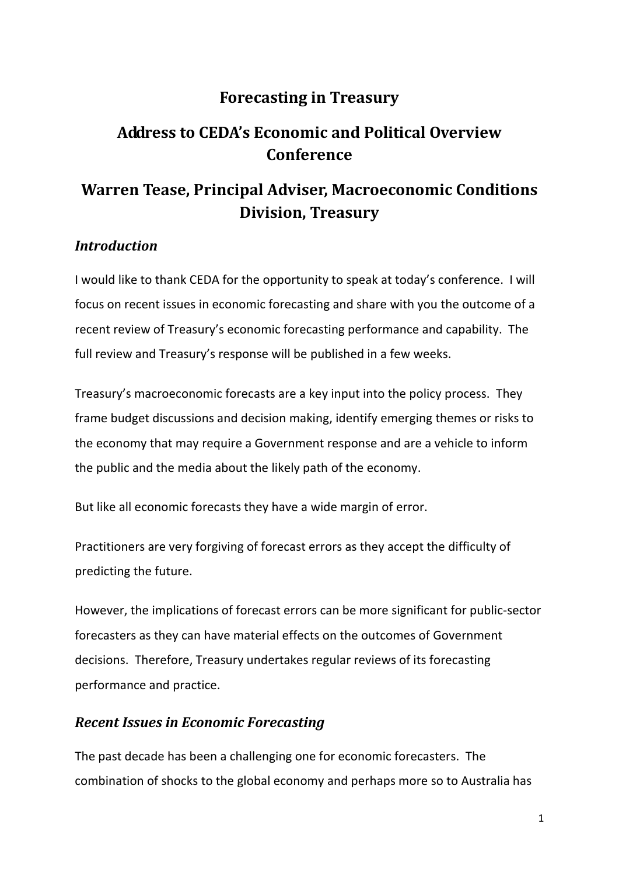# **Forecasting in Treasury**

# **Address to CEDA's Economic and Political Overview Conference**

# **Warren Tease, Principal Adviser, Macroeconomic Conditions Division, Treasury**

# *Introduction*

I would like to thank CEDA for the opportunity to speak at today's conference. I will focus on recent issues in economic forecasting and share with you the outcome of a recent review of Treasury's economic forecasting performance and capability. The full review and Treasury's response will be published in a few weeks.

Treasury's macroeconomic forecasts are a key input into the policy process. They frame budget discussions and decision making, identify emerging themes or risks to the economy that may require a Government response and are a vehicle to inform the public and the media about the likely path of the economy.

But like all economic forecasts they have a wide margin of error.

Practitioners are very forgiving of forecast errors as they accept the difficulty of predicting the future.

However, the implications of forecast errors can be more significant for public-sector forecasters as they can have material effects on the outcomes of Government decisions. Therefore, Treasury undertakes regular reviews of its forecasting performance and practice.

## *Recent Issues in Economic Forecasting*

The past decade has been a challenging one for economic forecasters. The combination of shocks to the global economy and perhaps more so to Australia has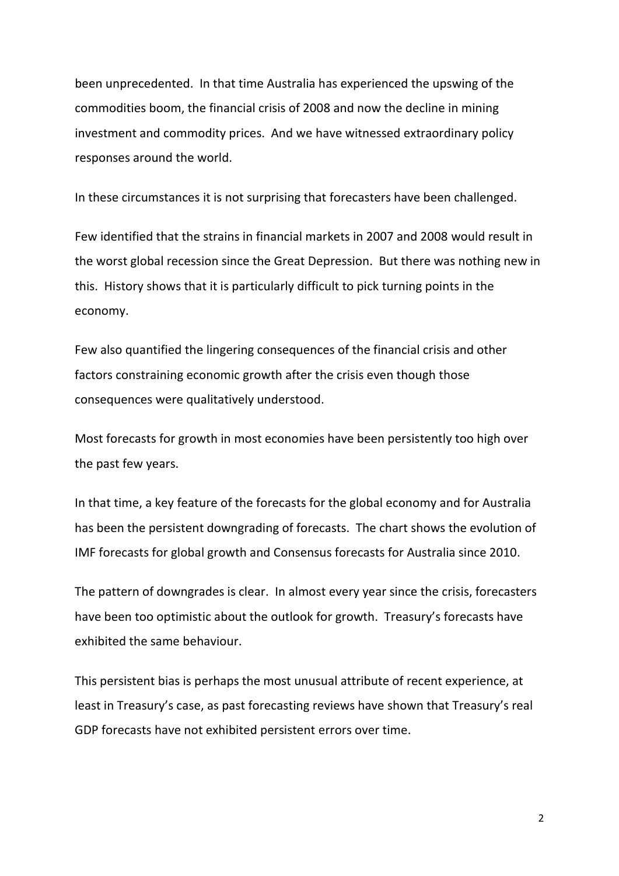been unprecedented. In that time Australia has experienced the upswing of the commodities boom, the financial crisis of 2008 and now the decline in mining investment and commodity prices. And we have witnessed extraordinary policy responses around the world.

In these circumstances it is not surprising that forecasters have been challenged.

Few identified that the strains in financial markets in 2007 and 2008 would result in the worst global recession since the Great Depression. But there was nothing new in this. History shows that it is particularly difficult to pick turning points in the economy.

Few also quantified the lingering consequences of the financial crisis and other factors constraining economic growth after the crisis even though those consequences were qualitatively understood.

Most forecasts for growth in most economies have been persistently too high over the past few years.

In that time, a key feature of the forecasts for the global economy and for Australia has been the persistent downgrading of forecasts. The chart shows the evolution of IMF forecasts for global growth and Consensus forecasts for Australia since 2010.

The pattern of downgrades is clear. In almost every year since the crisis, forecasters have been too optimistic about the outlook for growth. Treasury's forecasts have exhibited the same behaviour.

This persistent bias is perhaps the most unusual attribute of recent experience, at least in Treasury's case, as past forecasting reviews have shown that Treasury's real GDP forecasts have not exhibited persistent errors over time.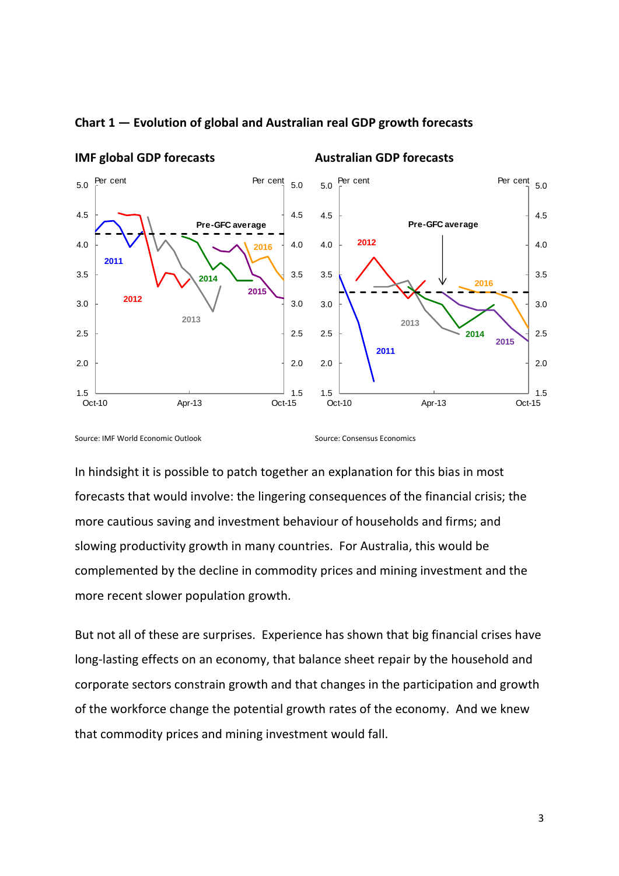

#### **Chart 1 — Evolution of global and Australian real GDP growth forecasts**

Source: IMF World Economic Outlook Source: Consensus Economics

In hindsight it is possible to patch together an explanation for this bias in most forecasts that would involve: the lingering consequences of the financial crisis; the more cautious saving and investment behaviour of households and firms; and slowing productivity growth in many countries. For Australia, this would be complemented by the decline in commodity prices and mining investment and the more recent slower population growth.

But not all of these are surprises. Experience has shown that big financial crises have long-lasting effects on an economy, that balance sheet repair by the household and corporate sectors constrain growth and that changes in the participation and growth of the workforce change the potential growth rates of the economy. And we knew that commodity prices and mining investment would fall.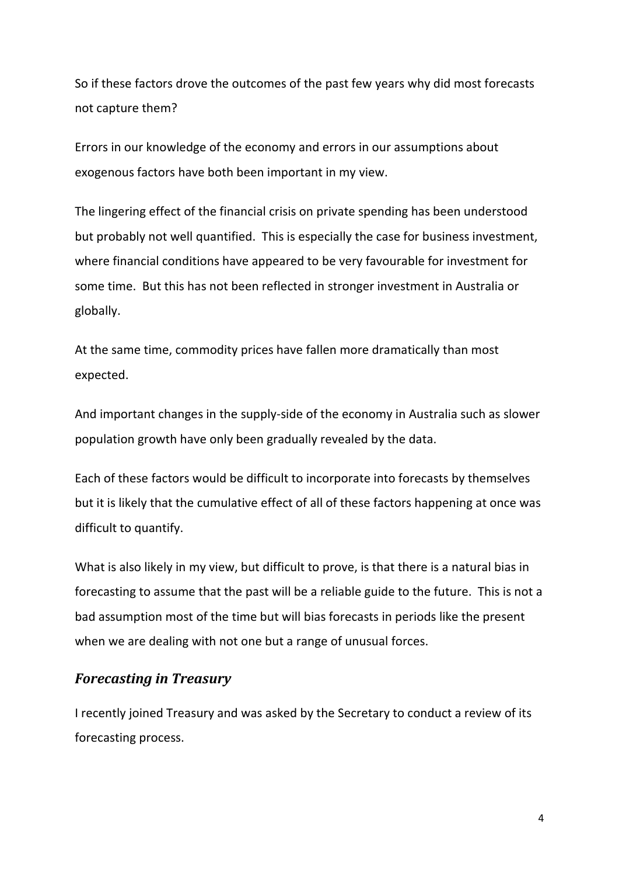So if these factors drove the outcomes of the past few years why did most forecasts not capture them?

Errors in our knowledge of the economy and errors in our assumptions about exogenous factors have both been important in my view.

The lingering effect of the financial crisis on private spending has been understood but probably not well quantified. This is especially the case for business investment, where financial conditions have appeared to be very favourable for investment for some time. But this has not been reflected in stronger investment in Australia or globally.

At the same time, commodity prices have fallen more dramatically than most expected.

And important changes in the supply-side of the economy in Australia such as slower population growth have only been gradually revealed by the data.

Each of these factors would be difficult to incorporate into forecasts by themselves but it is likely that the cumulative effect of all of these factors happening at once was difficult to quantify.

What is also likely in my view, but difficult to prove, is that there is a natural bias in forecasting to assume that the past will be a reliable guide to the future. This is not a bad assumption most of the time but will bias forecasts in periods like the present when we are dealing with not one but a range of unusual forces.

## *Forecasting in Treasury*

I recently joined Treasury and was asked by the Secretary to conduct a review of its forecasting process.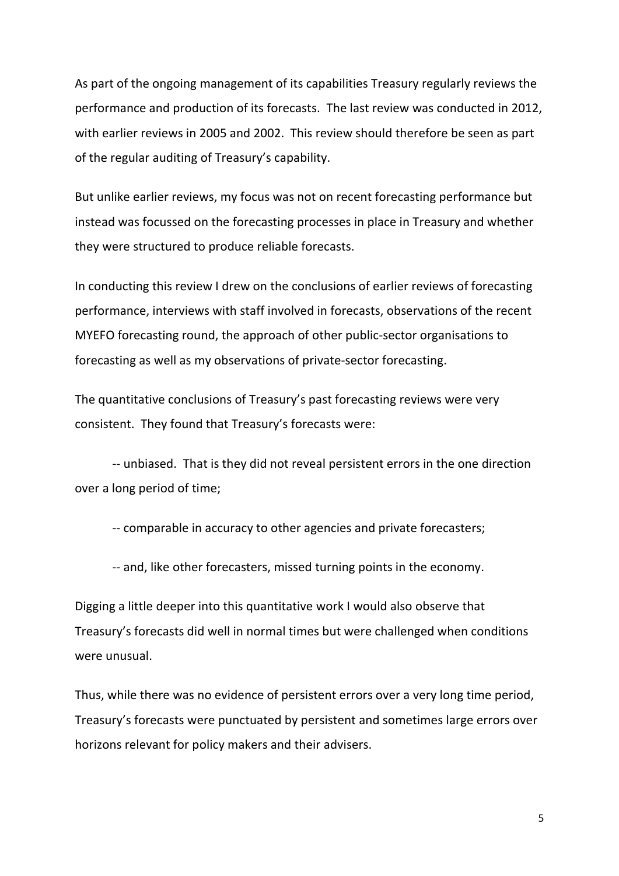As part of the ongoing management of its capabilities Treasury regularly reviews the performance and production of its forecasts. The last review was conducted in 2012, with earlier reviews in 2005 and 2002. This review should therefore be seen as part of the regular auditing of Treasury's capability.

But unlike earlier reviews, my focus was not on recent forecasting performance but instead was focussed on the forecasting processes in place in Treasury and whether they were structured to produce reliable forecasts.

In conducting this review I drew on the conclusions of earlier reviews of forecasting performance, interviews with staff involved in forecasts, observations of the recent MYEFO forecasting round, the approach of other public-sector organisations to forecasting as well as my observations of private-sector forecasting.

The quantitative conclusions of Treasury's past forecasting reviews were very consistent. They found that Treasury's forecasts were:

-- unbiased. That is they did not reveal persistent errors in the one direction over a long period of time;

-- comparable in accuracy to other agencies and private forecasters;

-- and, like other forecasters, missed turning points in the economy.

Digging a little deeper into this quantitative work I would also observe that Treasury's forecasts did well in normal times but were challenged when conditions were unusual.

Thus, while there was no evidence of persistent errors over a very long time period, Treasury's forecasts were punctuated by persistent and sometimes large errors over horizons relevant for policy makers and their advisers.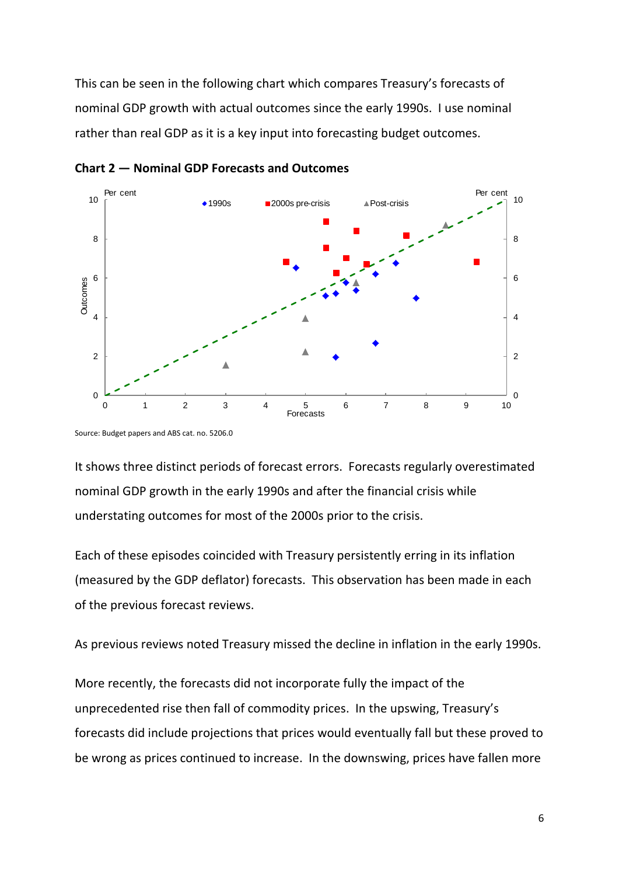This can be seen in the following chart which compares Treasury's forecasts of nominal GDP growth with actual outcomes since the early 1990s. I use nominal rather than real GDP as it is a key input into forecasting budget outcomes.



**Chart 2 — Nominal GDP Forecasts and Outcomes**

Source: Budget papers and ABS cat. no. 5206.0

It shows three distinct periods of forecast errors. Forecasts regularly overestimated nominal GDP growth in the early 1990s and after the financial crisis while understating outcomes for most of the 2000s prior to the crisis.

Each of these episodes coincided with Treasury persistently erring in its inflation (measured by the GDP deflator) forecasts. This observation has been made in each of the previous forecast reviews.

As previous reviews noted Treasury missed the decline in inflation in the early 1990s.

More recently, the forecasts did not incorporate fully the impact of the unprecedented rise then fall of commodity prices. In the upswing, Treasury's forecasts did include projections that prices would eventually fall but these proved to be wrong as prices continued to increase. In the downswing, prices have fallen more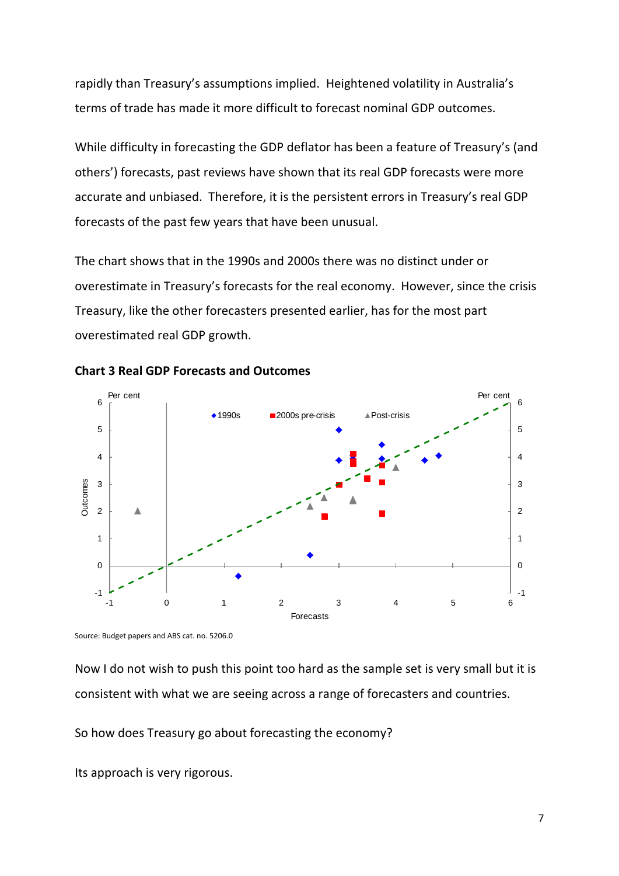rapidly than Treasury's assumptions implied. Heightened volatility in Australia's terms of trade has made it more difficult to forecast nominal GDP outcomes.

While difficulty in forecasting the GDP deflator has been a feature of Treasury's (and others') forecasts, past reviews have shown that its real GDP forecasts were more accurate and unbiased. Therefore, it is the persistent errors in Treasury's real GDP forecasts of the past few years that have been unusual.

The chart shows that in the 1990s and 2000s there was no distinct under or overestimate in Treasury's forecasts for the real economy. However, since the crisis Treasury, like the other forecasters presented earlier, has for the most part overestimated real GDP growth.





Source: Budget papers and ABS cat. no. 5206.0

Now I do not wish to push this point too hard as the sample set is very small but it is consistent with what we are seeing across a range of forecasters and countries.

So how does Treasury go about forecasting the economy?

Its approach is very rigorous.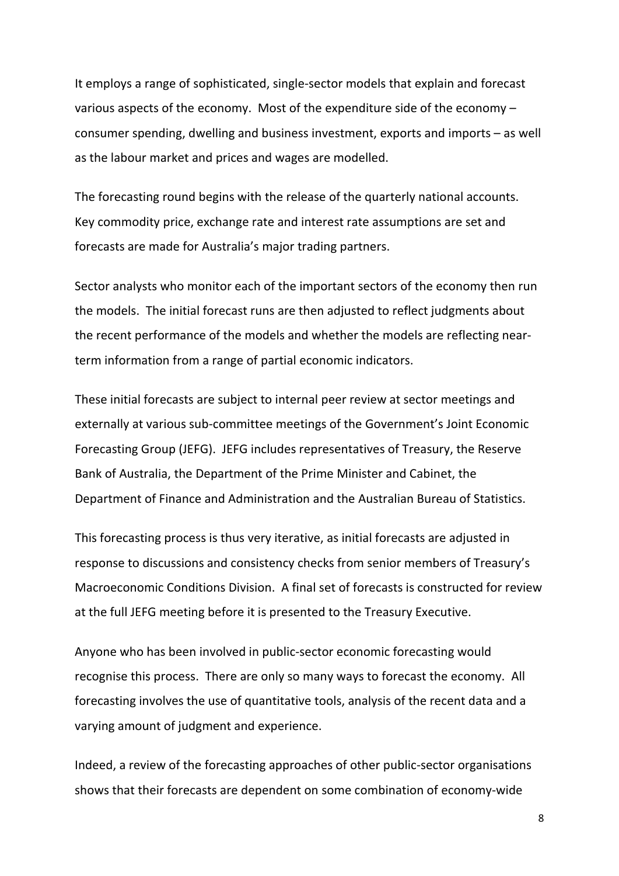It employs a range of sophisticated, single-sector models that explain and forecast various aspects of the economy. Most of the expenditure side of the economy – consumer spending, dwelling and business investment, exports and imports – as well as the labour market and prices and wages are modelled.

The forecasting round begins with the release of the quarterly national accounts. Key commodity price, exchange rate and interest rate assumptions are set and forecasts are made for Australia's major trading partners.

Sector analysts who monitor each of the important sectors of the economy then run the models. The initial forecast runs are then adjusted to reflect judgments about the recent performance of the models and whether the models are reflecting nearterm information from a range of partial economic indicators.

These initial forecasts are subject to internal peer review at sector meetings and externally at various sub-committee meetings of the Government's Joint Economic Forecasting Group (JEFG). JEFG includes representatives of Treasury, the Reserve Bank of Australia, the Department of the Prime Minister and Cabinet, the Department of Finance and Administration and the Australian Bureau of Statistics.

This forecasting process is thus very iterative, as initial forecasts are adjusted in response to discussions and consistency checks from senior members of Treasury's Macroeconomic Conditions Division. A final set of forecasts is constructed for review at the full JEFG meeting before it is presented to the Treasury Executive.

Anyone who has been involved in public-sector economic forecasting would recognise this process. There are only so many ways to forecast the economy. All forecasting involves the use of quantitative tools, analysis of the recent data and a varying amount of judgment and experience.

Indeed, a review of the forecasting approaches of other public-sector organisations shows that their forecasts are dependent on some combination of economy-wide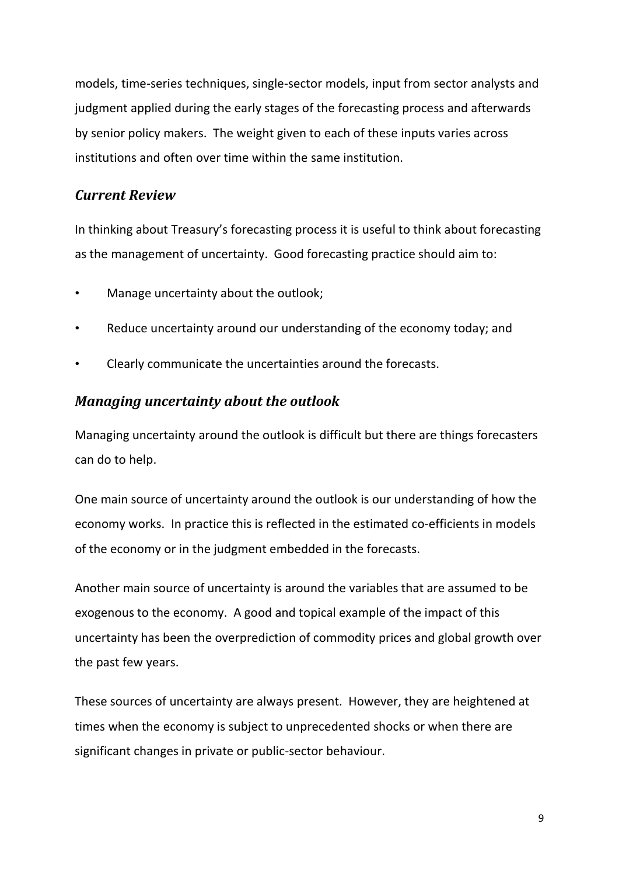models, time-series techniques, single-sector models, input from sector analysts and judgment applied during the early stages of the forecasting process and afterwards by senior policy makers. The weight given to each of these inputs varies across institutions and often over time within the same institution.

## *Current Review*

In thinking about Treasury's forecasting process it is useful to think about forecasting as the management of uncertainty. Good forecasting practice should aim to:

- Manage uncertainty about the outlook;
- Reduce uncertainty around our understanding of the economy today; and
- Clearly communicate the uncertainties around the forecasts.

#### *Managing uncertainty about the outlook*

Managing uncertainty around the outlook is difficult but there are things forecasters can do to help.

One main source of uncertainty around the outlook is our understanding of how the economy works. In practice this is reflected in the estimated co-efficients in models of the economy or in the judgment embedded in the forecasts.

Another main source of uncertainty is around the variables that are assumed to be exogenous to the economy. A good and topical example of the impact of this uncertainty has been the overprediction of commodity prices and global growth over the past few years.

These sources of uncertainty are always present. However, they are heightened at times when the economy is subject to unprecedented shocks or when there are significant changes in private or public-sector behaviour.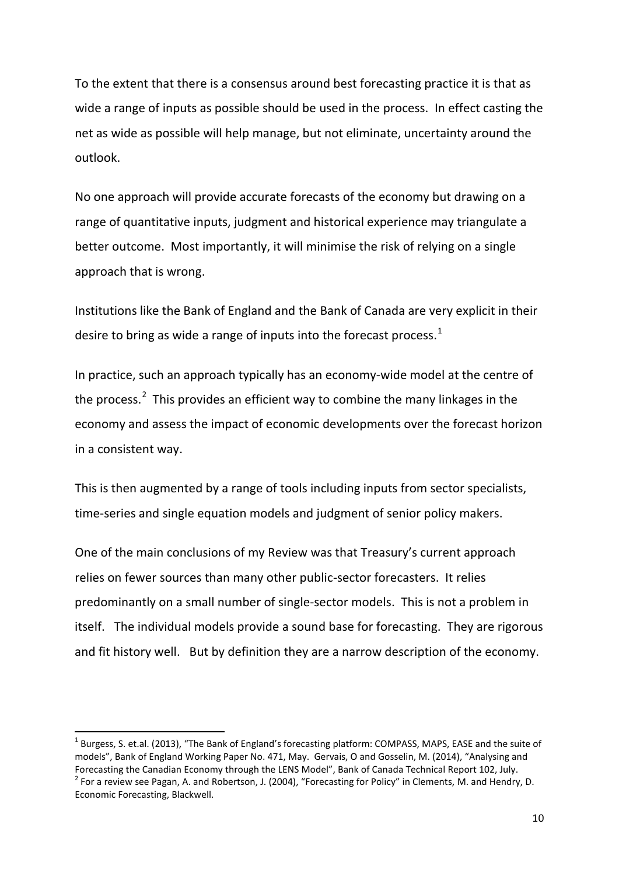To the extent that there is a consensus around best forecasting practice it is that as wide a range of inputs as possible should be used in the process. In effect casting the net as wide as possible will help manage, but not eliminate, uncertainty around the outlook.

No one approach will provide accurate forecasts of the economy but drawing on a range of quantitative inputs, judgment and historical experience may triangulate a better outcome. Most importantly, it will minimise the risk of relying on a single approach that is wrong.

Institutions like the Bank of England and the Bank of Canada are very explicit in their desire to bring as wide a range of inputs into the forecast process.<sup>[1](#page-9-0)</sup>

In practice, such an approach typically has an economy-wide model at the centre of the process.<sup>[2](#page-9-1)</sup> This provides an efficient way to combine the many linkages in the economy and assess the impact of economic developments over the forecast horizon in a consistent way.

This is then augmented by a range of tools including inputs from sector specialists, time-series and single equation models and judgment of senior policy makers.

One of the main conclusions of my Review was that Treasury's current approach relies on fewer sources than many other public-sector forecasters. It relies predominantly on a small number of single-sector models. This is not a problem in itself. The individual models provide a sound base for forecasting. They are rigorous and fit history well. But by definition they are a narrow description of the economy.

<span id="page-9-0"></span> $1$  Burgess, S. et.al. (2013), "The Bank of England's forecasting platform: COMPASS, MAPS, EASE and the suite of models", Bank of England Working Paper No. 471, May. Gervais, O and Gosselin, M. (2014), "Analysing and Forecasting the Canadian Economy through the LENS Model", Bank of Canada Technical Report 102, July.<br><sup>2</sup> For a review see Pagan, A. and Robertson, J. (2004), "Forecasting for Policy" in Clements, M. and Hendry, D.

<span id="page-9-1"></span>Economic Forecasting, Blackwell.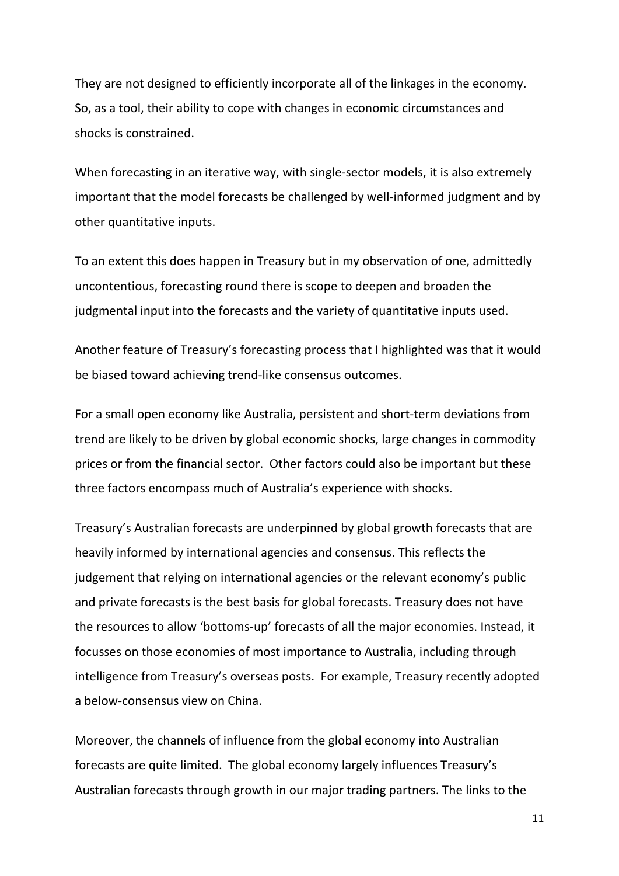They are not designed to efficiently incorporate all of the linkages in the economy. So, as a tool, their ability to cope with changes in economic circumstances and shocks is constrained.

When forecasting in an iterative way, with single-sector models, it is also extremely important that the model forecasts be challenged by well-informed judgment and by other quantitative inputs.

To an extent this does happen in Treasury but in my observation of one, admittedly uncontentious, forecasting round there is scope to deepen and broaden the judgmental input into the forecasts and the variety of quantitative inputs used.

Another feature of Treasury's forecasting process that I highlighted was that it would be biased toward achieving trend-like consensus outcomes.

For a small open economy like Australia, persistent and short-term deviations from trend are likely to be driven by global economic shocks, large changes in commodity prices or from the financial sector. Other factors could also be important but these three factors encompass much of Australia's experience with shocks.

Treasury's Australian forecasts are underpinned by global growth forecasts that are heavily informed by international agencies and consensus. This reflects the judgement that relying on international agencies or the relevant economy's public and private forecasts is the best basis for global forecasts. Treasury does not have the resources to allow 'bottoms-up' forecasts of all the major economies. Instead, it focusses on those economies of most importance to Australia, including through intelligence from Treasury's overseas posts. For example, Treasury recently adopted a below-consensus view on China.

Moreover, the channels of influence from the global economy into Australian forecasts are quite limited. The global economy largely influences Treasury's Australian forecasts through growth in our major trading partners. The links to the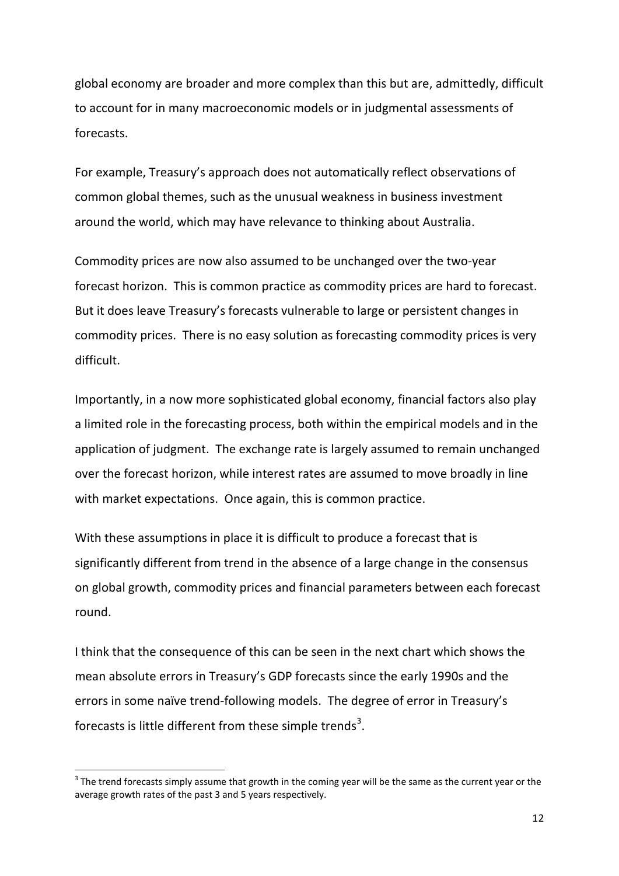global economy are broader and more complex than this but are, admittedly, difficult to account for in many macroeconomic models or in judgmental assessments of forecasts.

For example, Treasury's approach does not automatically reflect observations of common global themes, such as the unusual weakness in business investment around the world, which may have relevance to thinking about Australia.

Commodity prices are now also assumed to be unchanged over the two-year forecast horizon. This is common practice as commodity prices are hard to forecast. But it does leave Treasury's forecasts vulnerable to large or persistent changes in commodity prices. There is no easy solution as forecasting commodity prices is very difficult.

Importantly, in a now more sophisticated global economy, financial factors also play a limited role in the forecasting process, both within the empirical models and in the application of judgment. The exchange rate is largely assumed to remain unchanged over the forecast horizon, while interest rates are assumed to move broadly in line with market expectations. Once again, this is common practice.

With these assumptions in place it is difficult to produce a forecast that is significantly different from trend in the absence of a large change in the consensus on global growth, commodity prices and financial parameters between each forecast round.

I think that the consequence of this can be seen in the next chart which shows the mean absolute errors in Treasury's GDP forecasts since the early 1990s and the errors in some naïve trend-following models. The degree of error in Treasury's forecasts is little different from these simple trends<sup>[3](#page-11-0)</sup>.

<span id="page-11-0"></span> $3$  The trend forecasts simply assume that growth in the coming year will be the same as the current year or the average growth rates of the past 3 and 5 years respectively.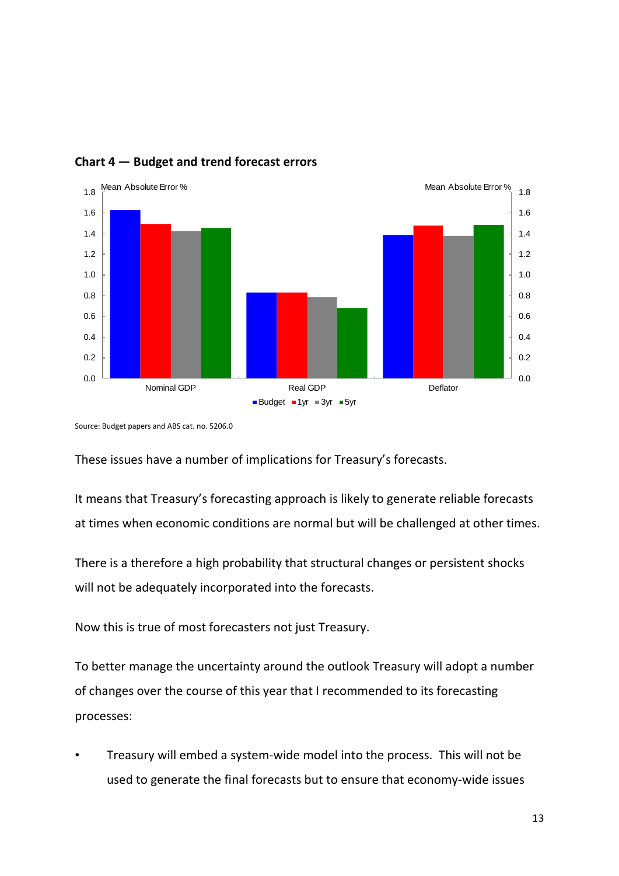

### **Chart 4 — Budget and trend forecast errors**

Source: Budget papers and ABS cat. no. 5206.0

These issues have a number of implications for Treasury's forecasts.

It means that Treasury's forecasting approach is likely to generate reliable forecasts at times when economic conditions are normal but will be challenged at other times.

There is a therefore a high probability that structural changes or persistent shocks will not be adequately incorporated into the forecasts.

Now this is true of most forecasters not just Treasury.

To better manage the uncertainty around the outlook Treasury will adopt a number of changes over the course of this year that I recommended to its forecasting processes:

• Treasury will embed a system-wide model into the process. This will not be used to generate the final forecasts but to ensure that economy-wide issues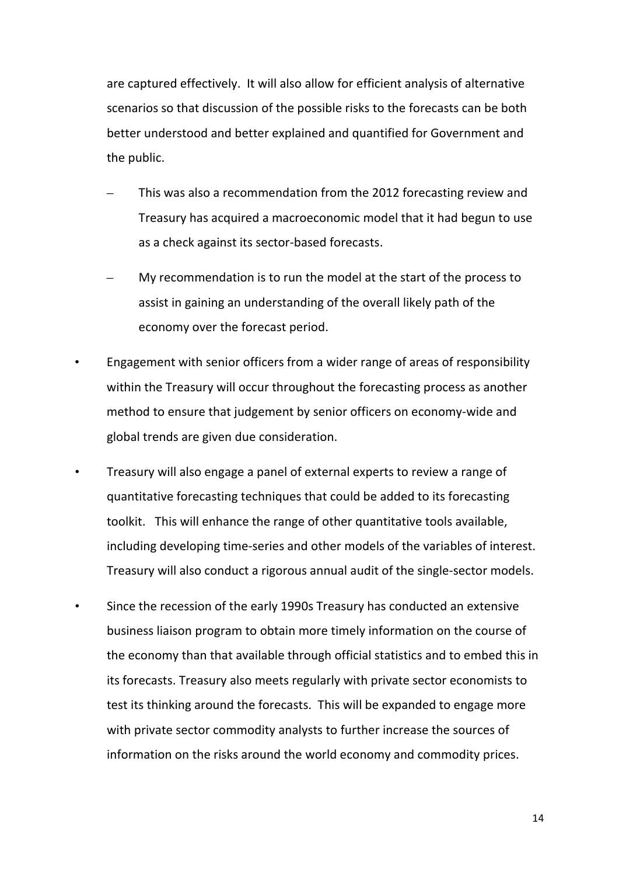are captured effectively. It will also allow for efficient analysis of alternative scenarios so that discussion of the possible risks to the forecasts can be both better understood and better explained and quantified for Government and the public.

- This was also a recommendation from the 2012 forecasting review and Treasury has acquired a macroeconomic model that it had begun to use as a check against its sector-based forecasts.
- My recommendation is to run the model at the start of the process to assist in gaining an understanding of the overall likely path of the economy over the forecast period.
- Engagement with senior officers from a wider range of areas of responsibility within the Treasury will occur throughout the forecasting process as another method to ensure that judgement by senior officers on economy-wide and global trends are given due consideration.
- Treasury will also engage a panel of external experts to review a range of quantitative forecasting techniques that could be added to its forecasting toolkit. This will enhance the range of other quantitative tools available, including developing time-series and other models of the variables of interest. Treasury will also conduct a rigorous annual audit of the single-sector models.
- Since the recession of the early 1990s Treasury has conducted an extensive business liaison program to obtain more timely information on the course of the economy than that available through official statistics and to embed this in its forecasts. Treasury also meets regularly with private sector economists to test its thinking around the forecasts. This will be expanded to engage more with private sector commodity analysts to further increase the sources of information on the risks around the world economy and commodity prices.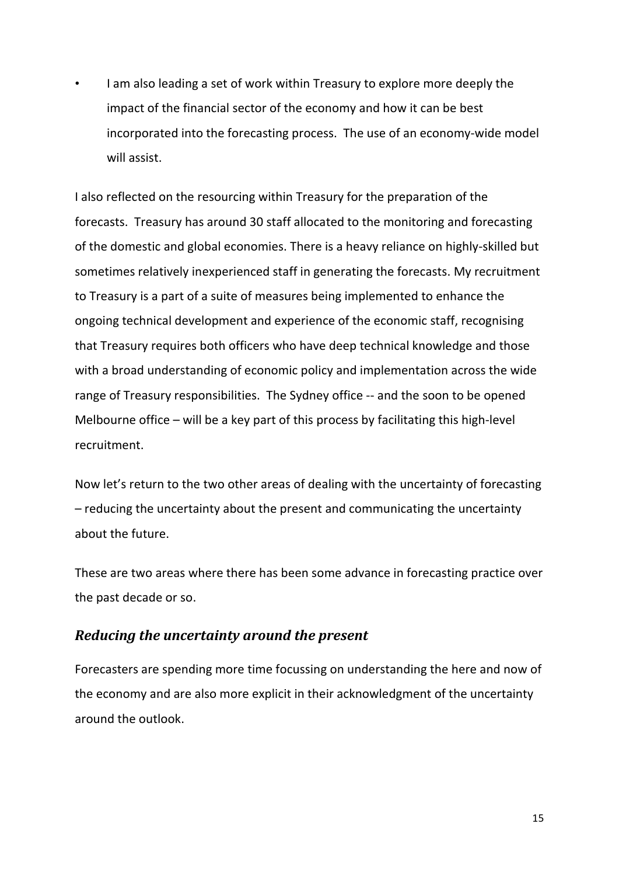• I am also leading a set of work within Treasury to explore more deeply the impact of the financial sector of the economy and how it can be best incorporated into the forecasting process. The use of an economy-wide model will assist.

I also reflected on the resourcing within Treasury for the preparation of the forecasts. Treasury has around 30 staff allocated to the monitoring and forecasting of the domestic and global economies. There is a heavy reliance on highly-skilled but sometimes relatively inexperienced staff in generating the forecasts. My recruitment to Treasury is a part of a suite of measures being implemented to enhance the ongoing technical development and experience of the economic staff, recognising that Treasury requires both officers who have deep technical knowledge and those with a broad understanding of economic policy and implementation across the wide range of Treasury responsibilities. The Sydney office -- and the soon to be opened Melbourne office – will be a key part of this process by facilitating this high-level recruitment.

Now let's return to the two other areas of dealing with the uncertainty of forecasting – reducing the uncertainty about the present and communicating the uncertainty about the future.

These are two areas where there has been some advance in forecasting practice over the past decade or so.

#### *Reducing the uncertainty around the present*

Forecasters are spending more time focussing on understanding the here and now of the economy and are also more explicit in their acknowledgment of the uncertainty around the outlook.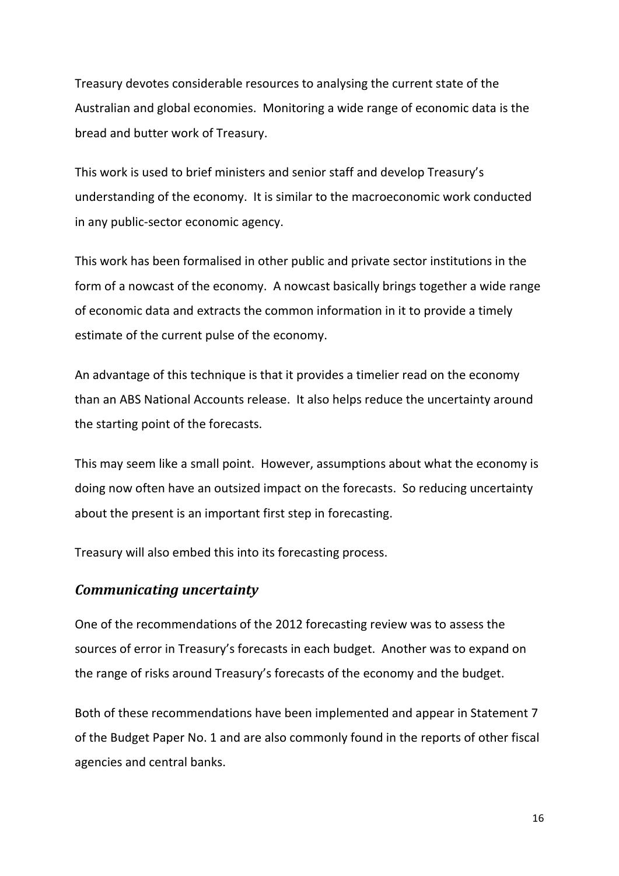Treasury devotes considerable resources to analysing the current state of the Australian and global economies. Monitoring a wide range of economic data is the bread and butter work of Treasury.

This work is used to brief ministers and senior staff and develop Treasury's understanding of the economy. It is similar to the macroeconomic work conducted in any public-sector economic agency.

This work has been formalised in other public and private sector institutions in the form of a nowcast of the economy. A nowcast basically brings together a wide range of economic data and extracts the common information in it to provide a timely estimate of the current pulse of the economy.

An advantage of this technique is that it provides a timelier read on the economy than an ABS National Accounts release. It also helps reduce the uncertainty around the starting point of the forecasts.

This may seem like a small point. However, assumptions about what the economy is doing now often have an outsized impact on the forecasts. So reducing uncertainty about the present is an important first step in forecasting.

Treasury will also embed this into its forecasting process.

#### *Communicating uncertainty*

One of the recommendations of the 2012 forecasting review was to assess the sources of error in Treasury's forecasts in each budget. Another was to expand on the range of risks around Treasury's forecasts of the economy and the budget.

Both of these recommendations have been implemented and appear in Statement 7 of the Budget Paper No. 1 and are also commonly found in the reports of other fiscal agencies and central banks.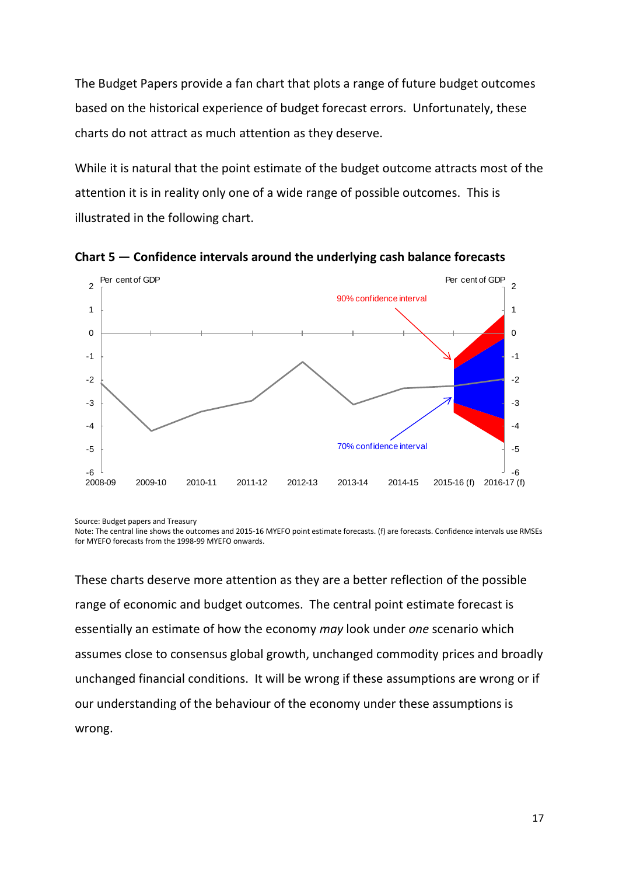The Budget Papers provide a fan chart that plots a range of future budget outcomes based on the historical experience of budget forecast errors. Unfortunately, these charts do not attract as much attention as they deserve.

While it is natural that the point estimate of the budget outcome attracts most of the attention it is in reality only one of a wide range of possible outcomes. This is illustrated in the following chart.



**Chart 5 — Confidence intervals around the underlying cash balance forecasts**

Source: Budget papers and Treasury

Note: The central line shows the outcomes and 2015-16 MYEFO point estimate forecasts. (f) are forecasts. Confidence intervals use RMSEs for MYEFO forecasts from the 1998-99 MYEFO onwards.

These charts deserve more attention as they are a better reflection of the possible range of economic and budget outcomes. The central point estimate forecast is essentially an estimate of how the economy *may* look under *one* scenario which assumes close to consensus global growth, unchanged commodity prices and broadly unchanged financial conditions. It will be wrong if these assumptions are wrong or if our understanding of the behaviour of the economy under these assumptions is wrong.